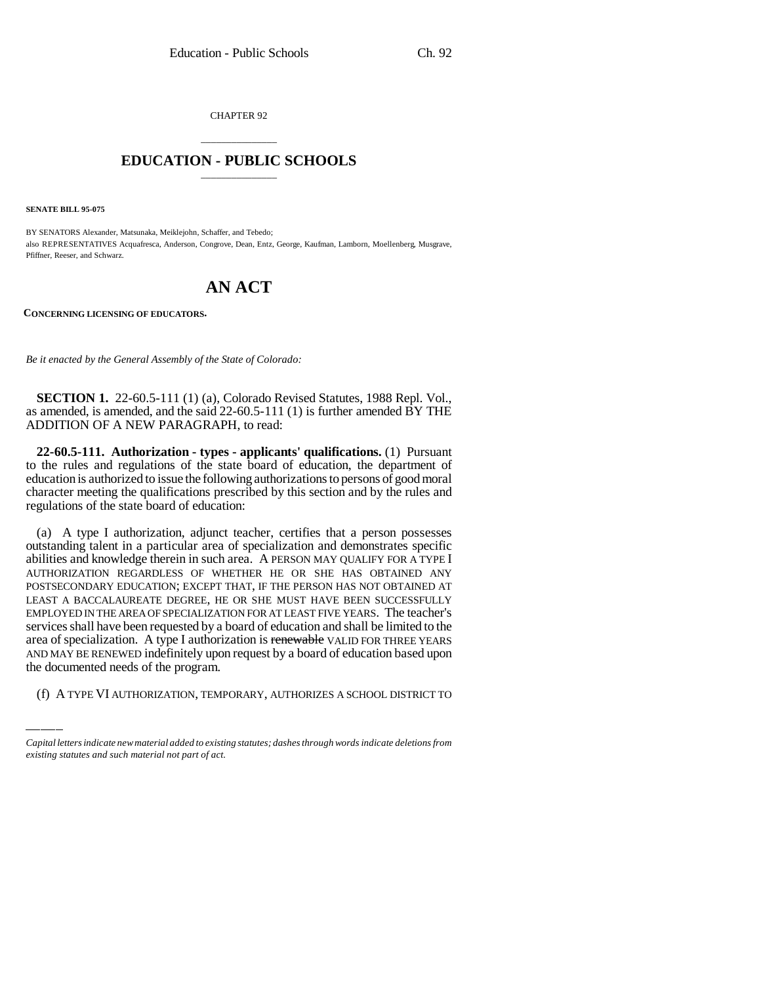CHAPTER 92

## \_\_\_\_\_\_\_\_\_\_\_\_\_\_\_ **EDUCATION - PUBLIC SCHOOLS** \_\_\_\_\_\_\_\_\_\_\_\_\_\_\_

**SENATE BILL 95-075**

BY SENATORS Alexander, Matsunaka, Meiklejohn, Schaffer, and Tebedo; also REPRESENTATIVES Acquafresca, Anderson, Congrove, Dean, Entz, George, Kaufman, Lamborn, Moellenberg, Musgrave, Pfiffner, Reeser, and Schwarz.

## **AN ACT**

**CONCERNING LICENSING OF EDUCATORS.**

*Be it enacted by the General Assembly of the State of Colorado:*

**SECTION 1.** 22-60.5-111 (1) (a), Colorado Revised Statutes, 1988 Repl. Vol., as amended, is amended, and the said 22-60.5-111 (1) is further amended BY THE ADDITION OF A NEW PARAGRAPH, to read:

**22-60.5-111. Authorization - types - applicants' qualifications.** (1) Pursuant to the rules and regulations of the state board of education, the department of education is authorized to issue the following authorizations to persons of good moral character meeting the qualifications prescribed by this section and by the rules and regulations of the state board of education:

area of specialization. A type I authorization is renewable VALID FOR THREE YEARS (a) A type I authorization, adjunct teacher, certifies that a person possesses outstanding talent in a particular area of specialization and demonstrates specific abilities and knowledge therein in such area. A PERSON MAY QUALIFY FOR A TYPE I AUTHORIZATION REGARDLESS OF WHETHER HE OR SHE HAS OBTAINED ANY POSTSECONDARY EDUCATION; EXCEPT THAT, IF THE PERSON HAS NOT OBTAINED AT LEAST A BACCALAUREATE DEGREE, HE OR SHE MUST HAVE BEEN SUCCESSFULLY EMPLOYED IN THE AREA OF SPECIALIZATION FOR AT LEAST FIVE YEARS. The teacher's services shall have been requested by a board of education and shall be limited to the AND MAY BE RENEWED indefinitely upon request by a board of education based upon the documented needs of the program.

(f) A TYPE VI AUTHORIZATION, TEMPORARY, AUTHORIZES A SCHOOL DISTRICT TO

*Capital letters indicate new material added to existing statutes; dashes through words indicate deletions from existing statutes and such material not part of act.*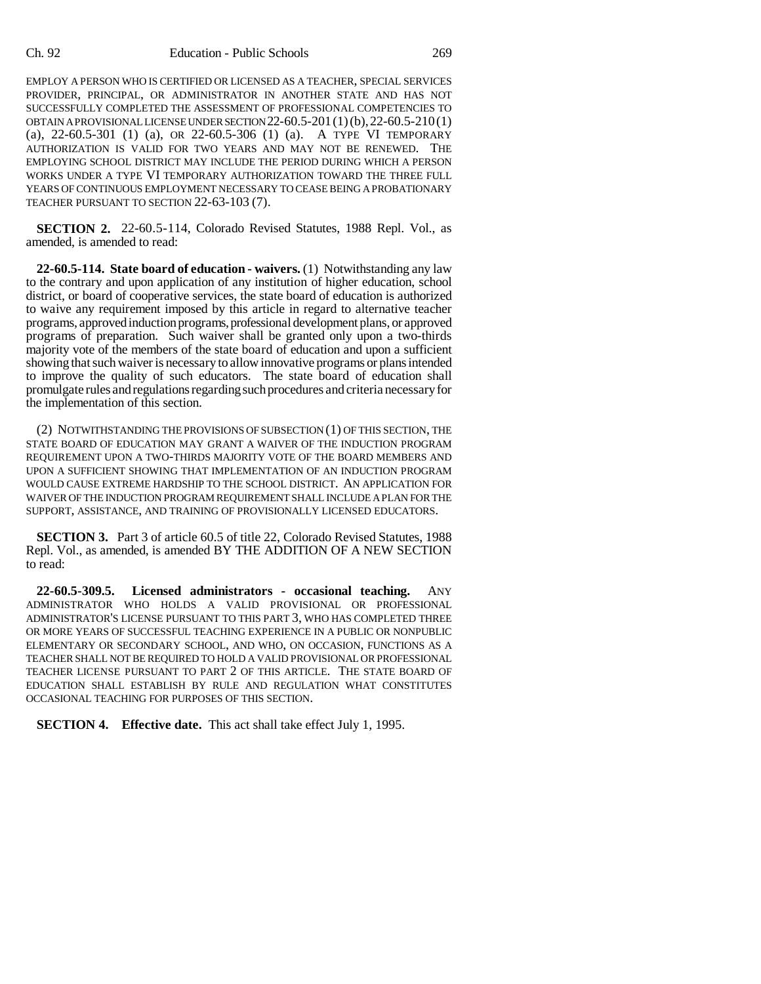EMPLOY A PERSON WHO IS CERTIFIED OR LICENSED AS A TEACHER, SPECIAL SERVICES PROVIDER, PRINCIPAL, OR ADMINISTRATOR IN ANOTHER STATE AND HAS NOT SUCCESSFULLY COMPLETED THE ASSESSMENT OF PROFESSIONAL COMPETENCIES TO OBTAIN A PROVISIONAL LICENSE UNDER SECTION  $22-60.5-201(1)(b)$ ,  $22-60.5-210(1)$ (a), 22-60.5-301 (1) (a), OR 22-60.5-306 (1) (a). A TYPE VI TEMPORARY AUTHORIZATION IS VALID FOR TWO YEARS AND MAY NOT BE RENEWED. THE EMPLOYING SCHOOL DISTRICT MAY INCLUDE THE PERIOD DURING WHICH A PERSON WORKS UNDER A TYPE VI TEMPORARY AUTHORIZATION TOWARD THE THREE FULL YEARS OF CONTINUOUS EMPLOYMENT NECESSARY TO CEASE BEING A PROBATIONARY TEACHER PURSUANT TO SECTION 22-63-103 (7).

**SECTION 2.** 22-60.5-114, Colorado Revised Statutes, 1988 Repl. Vol., as amended, is amended to read:

**22-60.5-114. State board of education - waivers.** (1) Notwithstanding any law to the contrary and upon application of any institution of higher education, school district, or board of cooperative services, the state board of education is authorized to waive any requirement imposed by this article in regard to alternative teacher programs, approved induction programs, professional development plans, or approved programs of preparation. Such waiver shall be granted only upon a two-thirds majority vote of the members of the state board of education and upon a sufficient showing that such waiver is necessary to allow innovative programs or plans intended to improve the quality of such educators. The state board of education shall promulgate rules and regulations regarding such procedures and criteria necessary for the implementation of this section.

(2) NOTWITHSTANDING THE PROVISIONS OF SUBSECTION (1) OF THIS SECTION, THE STATE BOARD OF EDUCATION MAY GRANT A WAIVER OF THE INDUCTION PROGRAM REQUIREMENT UPON A TWO-THIRDS MAJORITY VOTE OF THE BOARD MEMBERS AND UPON A SUFFICIENT SHOWING THAT IMPLEMENTATION OF AN INDUCTION PROGRAM WOULD CAUSE EXTREME HARDSHIP TO THE SCHOOL DISTRICT. AN APPLICATION FOR WAIVER OF THE INDUCTION PROGRAM REQUIREMENT SHALL INCLUDE A PLAN FOR THE SUPPORT, ASSISTANCE, AND TRAINING OF PROVISIONALLY LICENSED EDUCATORS.

**SECTION 3.** Part 3 of article 60.5 of title 22, Colorado Revised Statutes, 1988 Repl. Vol., as amended, is amended BY THE ADDITION OF A NEW SECTION to read:

**22-60.5-309.5. Licensed administrators - occasional teaching.** ANY ADMINISTRATOR WHO HOLDS A VALID PROVISIONAL OR PROFESSIONAL ADMINISTRATOR'S LICENSE PURSUANT TO THIS PART 3, WHO HAS COMPLETED THREE OR MORE YEARS OF SUCCESSFUL TEACHING EXPERIENCE IN A PUBLIC OR NONPUBLIC ELEMENTARY OR SECONDARY SCHOOL, AND WHO, ON OCCASION, FUNCTIONS AS A TEACHER SHALL NOT BE REQUIRED TO HOLD A VALID PROVISIONAL OR PROFESSIONAL TEACHER LICENSE PURSUANT TO PART 2 OF THIS ARTICLE. THE STATE BOARD OF EDUCATION SHALL ESTABLISH BY RULE AND REGULATION WHAT CONSTITUTES OCCASIONAL TEACHING FOR PURPOSES OF THIS SECTION.

**SECTION 4. Effective date.** This act shall take effect July 1, 1995.